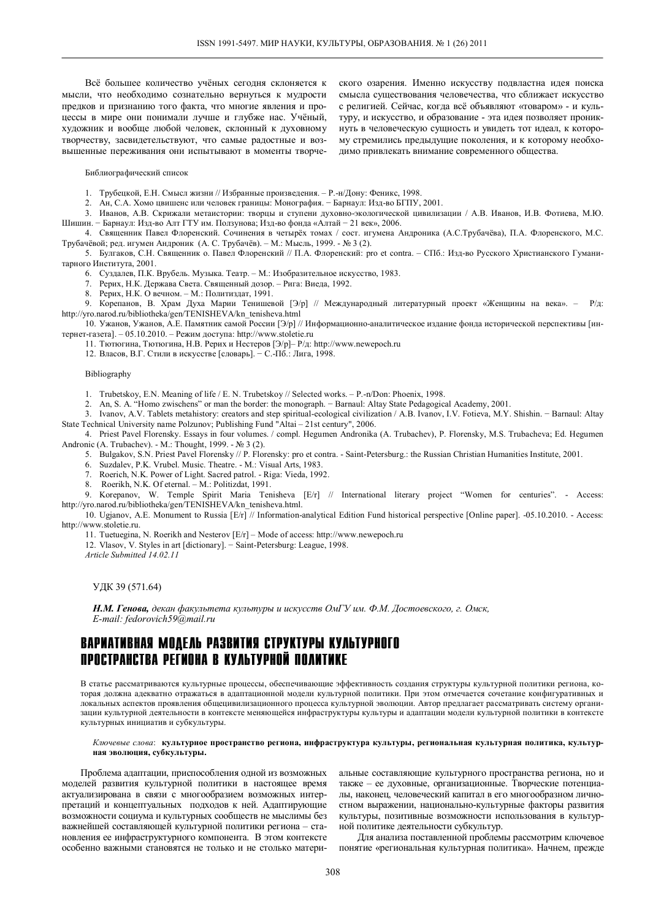Всё большее количество учёных сегодня склоняется к мысли, что необходимо сознательно вернуться к мудрости предков и признанию того факта, что многие явления и процессы в мире они понимали лучше и глубже нас. Учёный, художник и вообще любой человек, склонный к духовному творчеству, засвидетельствуют, что самые радостные и возвышенные переживания они испытывают в моменты творче-

ского озарения. Именно искусству подвластна идея поиска смысла существования человечества, что сближает искусство с религией. Сейчас, когда всё объявляют «товаром» - и культуру, и искусство, и образование - эта идея позволяет проникнуть в человеческую сущность и увидеть тот идеал, к которому стремились предыдущие поколения, и к которому необходимо привлекать внимание современного общества.

Библиографический список

- 1. Трубецкой, Е.Н. Смысл жизни // Избранные произведения. Р.-н/Дону: Феникс, 1998.
- 2. Ан. С.А. Хомо пвишенс или человек границы: Монография. Барнаул: Изл-во БГПУ. 2001.
- 3. Иванов, А.В. Скрижали метаистории: творцы и ступени духовно-экологической цивилизации / А.В. Иванов, И.В. Фотиева, М.Ю. Шишин. - Барнаул: Изд-во Алт ГТУ им. Ползунова; Изд-во фонда «Алтай - 21 век», 2006.
- 4. Священник Павел Флоренский. Сочинения в четырёх томах / сост. игумена Андроника (А.С.Трубачёва), П.А. Флоренского, М.С. Трубачёвой; ред. игумен Андроник (А. С. Трубачёв). - М.: Мысль, 1999. - № 3 (2).
- 5. Булгаков, С.Н. Священник о. Павел Флоренский // П.А. Флоренский: pro et contra. СПб.: Изд-во Русского Христианского Гуманитарного Института. 2001
	- 6. Суздалев, П.К. Врубель, Музыка, Театр. М.: Изобразительное искусство, 1983.
	- 7. Рерих, Н.К. Держава Света. Священный дозор. Рига: Виеда, 1992.
	- 8. Рерих, Н.К. О вечном. М.: Политиздат, 1991.

9. Корепанов, В. Храм Духа Марии Тенишевой [Э/р] // Международный литературный проект «Женщины на века». - $P/\pi$ http://yro.narod.ru/bibliotheka/gen/TENISHEVA/kn tenisheva.html

10. Ужанов, Ужанов, А.Е. Памятник самой России [Э/р] // Информационно-аналитическое издание фонда исторической перспективы [интернет-газета]. - 05.10.2010. - Режим доступа: http://www.stoletie.ru

- 11. Тютюгина. Тютюгина. Н.В. Рерих и Нестеров [Э/р]- P/л: http://www.newepoch.ru
- 12. Власов, В.Г. Стили в искусстве [словарь]. С.-Пб.: Лига, 1998.

#### Bibliography

- 1. Trubetskoy, E.N. Meaning of life / E. N. Trubetskoy // Selected works. P.-n/Don: Phoenix, 1998.
- $2<sub>1</sub>$ An, S. A. "Homo zwischens" or man the border: the monograph. - Barnaul: Altay State Pedagogical Academy, 2001.

3. Ivanov, A.V. Tablets metahistory: creators and step spiritual-ecological civilization / A.B. Ivanov, I.V. Fotieva, M.Y. Shishin. - Barnaul: Altay State Technical University name Polzunov; Publishing Fund "Altai - 21st century", 2006.

4. Priest Pavel Florensky. Essays in four volumes. / compl. Hegumen Andronika (A. Trubachev), P. Florensky, M.S. Trubacheva; Ed. Hegumen Andronic (A. Trubachev). - M.: Thought, 1999. - № 3 (2).

- 5. Bulgakov, S.N. Priest Pavel Florensky // P. Florensky: pro et contra. Saint-Petersburg.: the Russian Christian Humanities Institute, 2001.
	- 6. Suzdalev, P.K. Vrubel. Music. Theatre. M.: Visual Arts, 1983.
	- 7. Roerich, N.K. Power of Light. Sacred patrol. Riga: Vieda, 1992.
	- Roerikh, N.K. Of eternal. M.: Politizdat, 1991.

9. Korepanov, W. Temple Spirit Maria Tenisheva [E/r] // International literary project "Women for centuries". - Access: http://yro.narod.ru/bibliotheka/gen/TENISHEVA/kn\_tenisheva.html.

10. Ugjanov, A.E. Monument to Russia [E/r] // Information-analytical Edition Fund historical perspective [Online paper]. -05.10.2010. - Access: http://www.stoletie.ru.

11. Tuetuegina, N. Roerikh and Nesterov [E/r] – Mode of access: http://www.newepoch.ru

12. Vlasov, V. Styles in art [dictionary]. - Saint-Petersburg: League, 1998.

Article Submitted 14.02.11

УДК 39 (571.64)

Н.М. Генова, декан факультета культуры и искусств ОмГУ им. Ф.М. Достоевского, г. Омск, E-mail: fedorovich59@mail.ru

# **BAPMATMBHAA MOAEAL PA3BMTMA CTPYKTYPLI KYALTYPHOTO ПРОСТРАНСТВА РЕГИОНА В КУЛЬТУРНОЙ ПОЛИТИКЕ**

В статье рассматриваются культурные процессы, обеспечивающие эффективность создания структуры культурной политики региона, которая лолжна алекватно отражаться в алаптационной молели культурной политики. При этом отмечается сочетание конфигуративных и локальных аспектов проявления общенивилизационного процесса культурной эволюции. Автор преллагает рассматривать систему организации культурной деятельности в контексте меняющейся инфраструктуры культуры и адаптации модели культурной политики в контексте культурных инициатив и субкультуры.

#### Ключевые слова: культурное пространство региона, инфраструктура культуры, региональная культурная политика, культурная эволюция, субкультуры.

Проблема адаптации, приспособления одной из возможных моделей развития культурной политики в настоящее время актуализирована в связи с многообразием возможных интерпретаций и концептуальных подходов к ней. Адаптирующие возможности социума и культурных сообществ не мыслимы без важнейшей составляющей культурной политики региона - становления ее инфраструктурного компонента. В этом контексте особенно важными становятся не только и не столько материальные составляющие культурного пространства региона, но и также - ее духовные, организационные. Творческие потенциалы, наконец, человеческий капитал в его многообразном личностном выражении, национально-культурные факторы развития культуры, позитивные возможности использования в культурной политике деятельности субкультур.

Для анализа поставленной проблемы рассмотрим ключевое понятие «региональная культурная политика». Начнем, прежде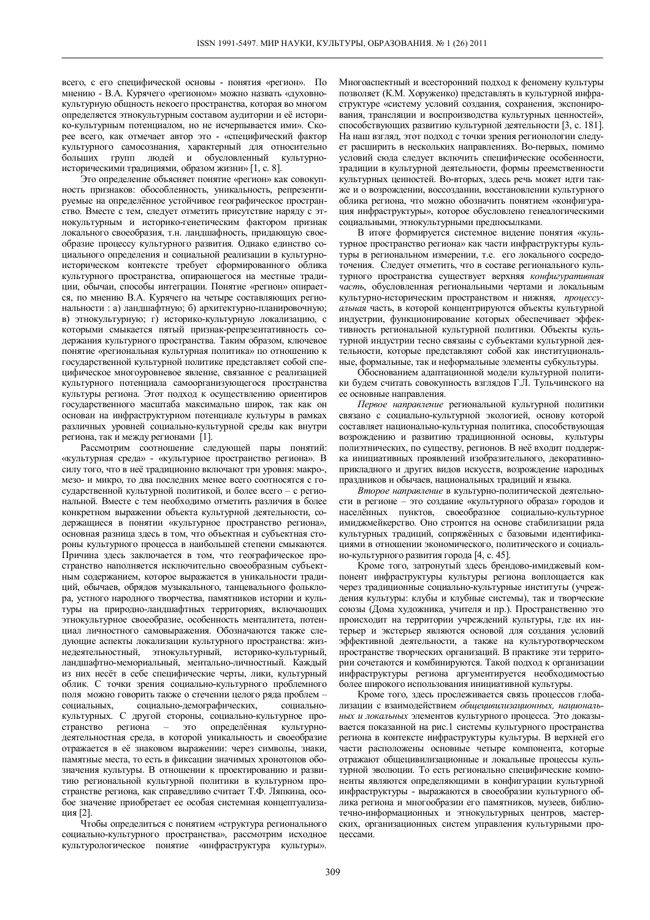всего, с его специфической основы - понятия «регион». По мнению - В.А. Курячего «регионом» можно назвать «духовнокультурную общность некоего пространства, которая во многом определяется этнокультурным составом аудитории и её историко-культурным потенциалом, но не исчерпывается ими». Скорее всего, как отмечает автор это - «специфический фактор культурного самосознания, характерный для относительно больших групп людей и обусловленный КУЛЬТУРНОисторическими традициями, образом жизни» [1, с. 8].

Это определение объясняет понятие «регион» как совокупность признаков: обособленность, уникальность, репрезентируемые на опрелелённое устойчивое географическое пространство. Вместе с тем, следует отметить присутствие наряду с этнокультурным и историко-генетическим фактором признак локального своеобразия, т.н. ландшафность, придающую своеобразие процессу культурного развития. Однако единство социального определения и социальной реализации в культурноисторическом контексте требует сформированного облика культурного пространства, опирающегося на местные традиции, обычаи, способы интеграции. Понятие «регион» опирается, по мнению В.А. Курячего на четыре составляющих региональности: а) ландшафтную; б) архитектурно-планировочную; в) этнокультурную; г) историко-культурную локализацию, с которыми смыкается пятый признак-репрезентативность содержания культурного пространства. Таким образом, ключевое понятие «региональная культурная политика» по отношению к государственной культурной политике представляет собой специфическое многоуровневое явление, связанное с реализацией культурного потенциала самоорганизующегося пространства культуры региона. Этот подход к осуществлению ориентиров государственного масштаба максимально широк, так как он основан на инфраструктурном потенциале культуры в рамках различных уровней социально-культурной среды как внутри региона, так и между регионами [1].

Рассмотрим соотношение следующей пары понятий: «культурная среда» - «культурное пространство региона». В силу того, что в неё традиционно включают три уровня: макро-, мезо- и микро, то два последних менее всего соотносятся с государственной культурной политикой, и более всего - с региональной. Вместе с тем необходимо отметить различия в более конкретном выражении объекта культурной деятельности, содержащиеся в понятии «культурное пространство региона», основная разница злесь в том, что объектная и субъектная стороны культурного процесса в наибольшей степени смыкаются. Причина здесь заключается в том, что географическое пространство наполняется исключительно своеобразным субъектным содержанием, которое выражается в уникальности традиций, обычаев, обрядов музыкального, танцевального фольклора, устного народного творчества, памятников истории и культуры на природно-ландшафтных территориях, включающих этнокультурное своеобразие, особенность менталитета, потенциал личностного самовыражения. Обозначаются также следующие аспекты локализации культурного пространства: жизнедеятельностный, этнокультурный, историко-культурный, ландшафтно-мемориальный, ментально-личностный. Каждый из них несёт в себе специфические черты, лики, культурный облик. С точки зрения социально-культурного проблемного поля можно говорить также о стечении целого ряда проблем социально-демографических, социальносониальных. культурных. С другой стороны, социально-культурное пространство региона  $\overline{30}$ определённая KVILTVDHOдеятельностная среда, в которой уникальность и своеобразие отражается в её знаковом выражении: через символы, знаки, памятные места, то есть в фиксации значимых хронотопов обозначения культуры. В отношении к проектированию и развитию региональной культурной политики в культурном пространстве региона, как справедливо считает Т.Ф. Ляпкина, особое значение приобретает ее особая системная концептуализация [2].

Чтобы определиться с понятием «структура регионального социально-культурного пространства», рассмотрим исходное культурологическое понятие «инфраструктура культуры».

Многоаспектный и всесторонний полхол к феномену культуры позволяет (К.М. Хоруженко) представлять в культурной инфраструктуре «систему условий создания, сохранения, экспонирования, трансляции и воспроизводства культурных ценностей», способствующих развитию культурной деятельности [3, с. 181]. На наш взгляд, этот подход с точки зрения регионологии следует расширить в нескольких направлениях. Во-первых, помимо условий сюда следует включить специфические особенности, традиции в культурной деятельности, формы преемственности культурных ценностей. Во-вторых, здесь речь может идти также и о возрождении, воссоздании, восстановлении культурного облика региона, что можно обозначить понятием «конфигурация инфраструктуры», которое обусловлено генеалогическими социальными, этнокультурными предпосылками.

В итоге формируется системное видение понятия «культурное пространство региона» как части инфраструктуры культуры в региональном измерении, т.е. его локального сосредоточения. Следует отметить, что в составе регионального культурного пространства существует верхняя конфигуративная часть, обусловленная региональными чертами и локальным культурно-историческим пространством и нижняя, процессуальная часть, в которой концентрируются объекты культурной индустрии, функционирование которых обеспечивает эффективность региональной культурной политики. Объекты культурной индустрии тесно связаны с субъектами культурной деятельности, которые представляют собой как институциональные, формальные, так и неформальные элементы субкультуры.

Обоснованием адаптационной модели культурной политики будем считать совокупность взглядов Г.Л. Тульчинского на ее основные направления.

Первое направление региональной культурной политики связано с социально-культурной экологией, основу которой составляет национально-культурная политика, способствующая возрождению и развитию традиционной основы, культуры полиэтнических, по существу, регионов. В неё входит поддержка инициативных проявлений изобразительного, декоративноприкладного и других видов искусств, возрождение народных праздников и обычаев, национальных традиций и языка.

Второе направление в культурно-политической деятельности в регионе - это создание «культурного образа» городов и населённых пунктов, своеобразное социально-культурное имиджмейкерство. Оно строится на основе стабилизации ряда культурных традиций, сопряжённых с базовыми идентификациями в отношении экономического, политического и социально-культурного развития города [4, с. 45].

Кроме того, затронутый здесь брендово-имиджевый компонент инфраструктуры культуры региона воплощается как через традиционные социально-культурные институты (учреждения культуры: клубы и клубные системы), так и творческие союзы (Дома художника, учителя и пр.). Пространственно это происходит на территории учреждений культуры, где их интерьер и экстерьер являются основой для создания условий эффективной деятельности, а также на культуротворческом пространстве творческих организаций. В практике эти территории сочетаются и комбинируются. Такой подход к организации инфраструктуры региона аргументируется необходимостью более широкого использования инициативной культуры.

Кроме того, здесь прослеживается связь процессов глобализации с взаимодействием общешвилизашионных, нашиональных и локальных элементов культурного процесса. Это доказывается показанной на рис.1 системы культурного пространства региона в контексте инфраструктуры культуры. В верхней его части расположены основные четыре компонента. которые отражают общецивилизационные и локальные процессы культурной эволюции. То есть регионально специфические компоненты являются определяющими в конфигурации культурной инфраструктуры - выражаются в своеобразии культурного облика региона и многообразии его памятников, музеев, библиотечно-информационных и этнокультурных центров, мастерских, организационных систем управления культурными пропессами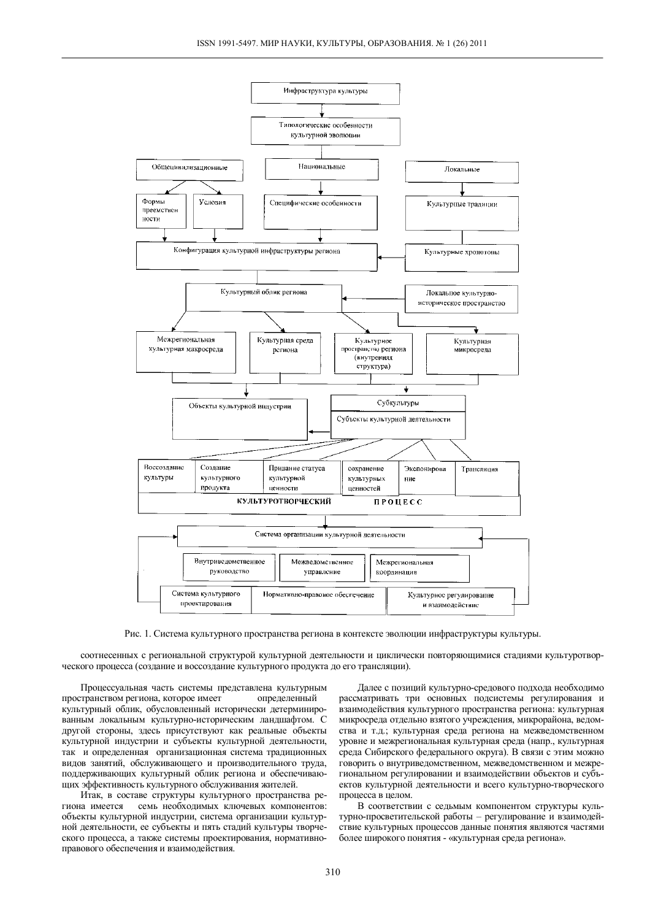

Рис. 1. Система культурного пространства региона в контексте эволюции инфраструктуры культуры.

соотнесенных с региональной структурой культурной деятельности и циклически повторяющимися стадиями культуротворческого процесса (создание и воссоздание культурного продукта до его трансляции).

Процессуальная часть системы представлена культурным пространством региона, которое имеет определенный культурный облик, обусловленный исторически летерминированным локальным культурно-историческим ландшафтом. С другой стороны, здесь присутствуют как реальные объекты культурной индустрии и субъекты культурной деятельности, так и определенная организационная система традиционных видов занятий, обслуживающего и производительного труда, поддерживающих культурный облик региона и обеспечиваюших эффективность культурного обслуживания жителей.

Итак, в составе структуры культурного пространства региона имеется семь необходимых ключевых компонентов: объекты культурной индустрии, система организации культурной деятельности, ее субъекты и пять стадий культуры творческого процесса, а также системы проектирования, нормативноправового обеспечения и взаимодействия.

Далее с позиций культурно-средового подхода необходимо рассматривать три основных подсистемы регулирования и взаимодействия культурного пространства региона: культурная микросреда отдельно взятого учреждения, микрорайона, ведомства и т.д.; культурная среда региона на межведомственном уровне и межрегиональная культурная среда (напр., культурная среда Сибирского федерального округа). В связи с этим можно говорить о внутриведомственном, межведомственном и межрегиональном регулировании и взаимодействии объектов и субъектов культурной деятельности и всего культурно-творческого процесса в целом.

В соответствии с седьмым компонентом структуры культурно-просветительской работы - регулирование и взаимодействие культурных процессов данные понятия являются частями более широкого понятия - «культурная среда региона».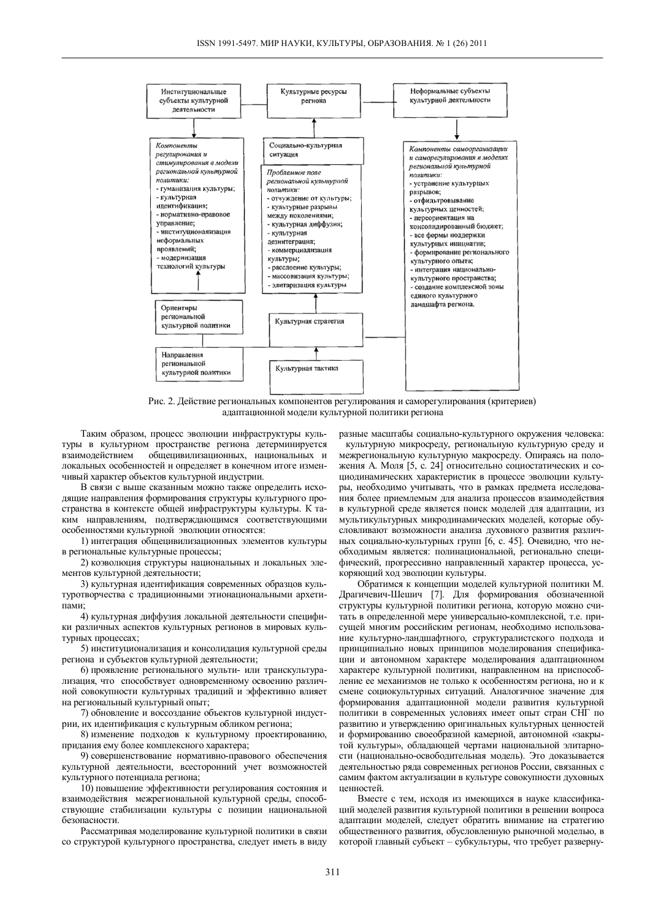

Рис. 2. Действие региональных компонентов регулирования и саморегулирования (критериев) адаптационной модели культурной политики региона

Таким образом, процесс эволюции инфраструктуры культуры в культурном пространстве региона детерминируется общецивилизационных, национальных и взаимолействием локальных особенностей и определяет в конечном итоге изменчивый характер объектов культурной индустрии.

В связи с выше сказанным можно также определить исходящие направления формирования структуры культурного пространства в контексте общей инфраструктуры культуры. К таким направлениям, подтверждающимся соответствующими особенностями культурной эволюции относятся:

1) интеграция общецивилизационных элементов культуры в региональные культурные процессы;

2) коэволюция структуры национальных и локальных элементов культурной деятельности;

3) культурная идентификация современных образцов культуротворчества с традиционными этнонациональными архетипами:

4) культурная диффузия локальной деятельности специфики различных аспектов культурных регионов в мировых культурных процессах;

5) институционализация и консолидация культурной среды региона и субъектов культурной деятельности;

6) проявление регионального мульти- или транскультурализация, что способствует одновременному освоению различной совокупности культурных традиций и эффективно влияет на региональный культурный опыт;

7) обновление и воссоздание объектов культурной индустрии, их идентификация с культурным обликом региона;

8) изменение подходов к культурному проектированию, придания ему более комплексного характера;

9) совершенствование нормативно-правового обеспечения культурной деятельности, всесторонний учет возможностей культурного потенциала региона;

10) повышение эффективности регулирования состояния и взаимодействия межрегиональной культурной среды, способствующие стабилизации культуры с позиции национальной безопасности.

Рассматривая моделирование культурной политики в связи со структурой культурного пространства, следует иметь в виду разные масштабы социально-культурного окружения человека:

культурную микросреду, региональную культурную среду и межрегиональную культурную макросреду. Опираясь на положения А. Моля [5, с. 24] относительно социостатических и социодинамических характеристик в процессе эволюции культуры, необходимо учитывать, что в рамках предмета исследования более приемлемым для анализа процессов взаимодействия в культурной среде является поиск моделей для адаптации, из мультикультурных микродинамических моделей, которые обусловливают возможности анализа духовного развития различных социально-культурных групп [6, с. 45]. Очевидно, что необходимым является: полинациональной, регионально специфический, прогрессивно направленный характер процесса, ускоряющий ход эволюции культуры.

Обратимся к концепции моделей культурной политики М. Драгичевич-Шешич [7]. Для формирования обозначенной структуры культурной политики региона, которую можно считать в определенной мере универсально-комплексной, т.е. присущей многим российским регионам, необходимо использование культурно-ландшафтного, структуралистского подхода и принципиально новых принципов моделирования спецификации и автономном характере моделирования адаптационном характере культурной политики, направленном на приспособление ее механизмов не только к особенностям региона, но и к смене социокультурных ситуаций. Аналогичное значение для формирования адаптационной модели развития культурной политики в современных условиях имеет опыт стран СНГ по развитию и утверждению оригинальных культурных ценностей и формированию своеобразной камерной, автономной «закрытой культуры», обладающей чертами национальной элитарности (национально-освободительная модель). Это доказывается деятельностью ряда современных регионов России, связанных с самим фактом актуализации в культуре совокупности духовных ненностей

Вместе с тем, исхоля из имеющихся в науке классификаций моделей развития культурной политики в решении вопроса адаптации моделей, следует обратить внимание на стратегию общественного развития, обусловленную рыночной моделью, в которой главный субъект - субкультуры, что требует разверну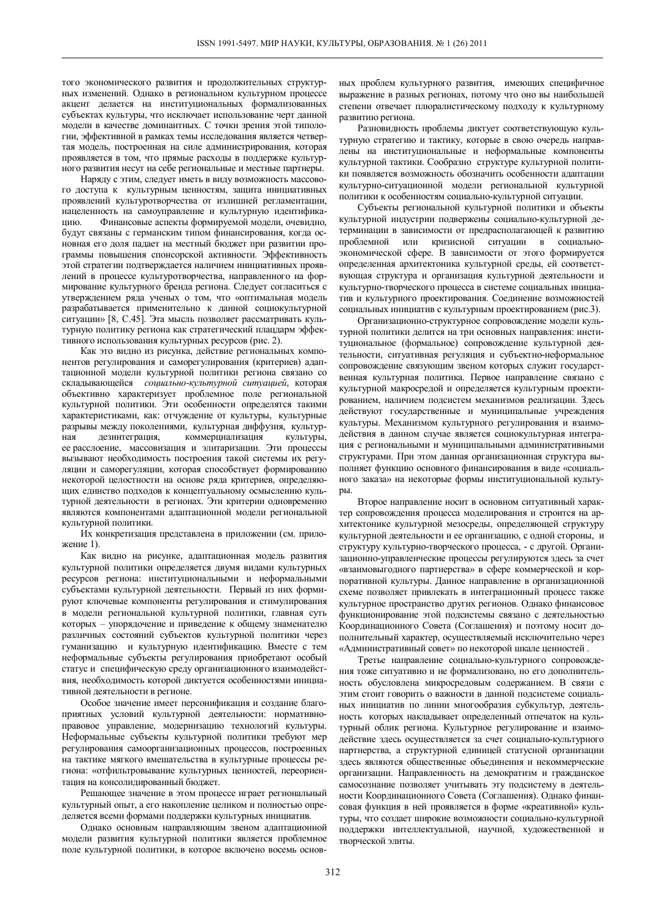того экономического развития и продолжительных структурных изменений. Однако в региональном культурном процессе акцент делается на институциональных формализованных субъектах культуры, что исключает использование черт данной модели в качестве доминантных. С точки зрения этой типологии, эффективной в рамках темы исследования является четвертая модель, построенная на силе администрирования, которая проявляется в том, что прямые расходы в поддержке культурного развития несут на себе региональные и местные партнеры.

Наряду с этим, следует иметь в виду возможность массового доступа к культурным ценностям, защита инициативных проявлений культуротворчества от излишней регламентации. нацеленность на самоуправление и культурную идентифика-Финансовые аспекты формируемой модели, очевидно, нию будут связаны с германским типом финансирования, когда основная его лоля палает на местный бюджет при развитии программы повышения спонсорской активности. Эффективность этой стратегии подтверждается наличием инициативных проявлений в процессе культуротворчества, направленного на формирование культурного бренда региона. Следует согласиться с утверждением ряда ученых о том, что «оптимальная модель разрабатывается применительно к данной социокультурной ситуации» [8, С.45]. Эта мысль позволяет рассматривать культурную политику региона как стратегический плацдарм эффективного использования культурных ресурсов (рис. 2).

Как это видно из рисунка, действие региональных компонентов регулирования и саморегулирования (критериев) адаптационной модели культурной политики региона связано со складывающейся социально-культурной ситуацией, которая объективно характеризует проблемное поле региональной культурной политики. Эти особенности определятся такими характеристиками, как: отчуждение от культуры, культурные разрывы между поколениями, культурная диффузия, культурная дезинтеграция. коммерциализация культуры, ее расслоение, массовизация и элитаризации. Эти процессы вызывают необходимость построения такой системы их регуляции и саморегуляции, которая способствует формированию некоторой целостности на основе ряда критериев, определяющих единство подходов к концептуальному осмыслению культурной деятельности в регионах. Эти критерии одновременно являются компонентами адаптационной модели региональной культурной политики.

Их конкретизация представлена в приложении (см. приложение 1).

Как видно на рисунке, адаптационная модель развития культурной политики определяется двумя видами культурных ресурсов региона: институциональными и неформальными субъектами культурной деятельности. Первый из них формируют ключевые компоненты регулирования и стимулирования в модели региональной культурной политики, главная суть которых - упорядочение и приведение к общему знаменателю различных состояний субъектов культурной политики через гуманизацию и культурную идентификацию. Вместе с тем неформальные субъекты регулирования приобретают особый статус и специфическую среду организационного взаимодействия, необходимость которой диктуется особенностями инициативной деятельности в регионе.

Особое значение имеет персонификация и создание благоприятных условий культурной деятельности: нормативноправовое управление, модернизацию технологий культуры. Неформальные субъекты культурной политики требуют мер регулирования самоорганизационных процессов, построенных на тактике мягкого вмешательства в культурные процессы региона: «отфильтровывание культурных ценностей, переориентация на консолидированный бюджет.

Решающее значение в этом процессе играет региональный культурный опыт, а его накопление целиком и полностью определяется всеми формами поддержки культурных инициатив.

Однако основным направляющим звеном адаптационной модели развития культурной политики является проблемное поле культурной политики, в которое включено восемь основных проблем культурного развития, имеющих специфичное выражение в разных регионах, потому что оно вы наибольшей степени отвечает плюралистическому подходу к культурному развитию региона.

Разновидность проблемы диктует соответствующую культурную стратегию и тактику, которые в свою очередь направлены на институциональные и неформальные компоненты культурной тактики. Сообразно структуре культурной политики появляется возможность обозначить особенности адаптации культурно-ситуационной модели региональной культурной политики к особенностям социально-культурной ситуации.

Субъекты региональной культурной политики и объекты культурной индустрии подвержены социально-культурной детерминации в зависимости от предрасполагающей к развитию кризисной ситуации в социальнопроблемной или экономической сфере. В зависимости от этого формируется определенная архитектоника культурной среды, ей соответствующая структура и организация культурной деятельности и культурно-творческого процесса в системе социальных инициатив и культурного проектирования. Соединение возможностей социальных инициатив с культурным проектированием (рис.3).

Организационно-структурное сопровождение модели культурной политики делится на три основных направления: институциональное (формальное) сопровождение культурной деятельности, ситуативная регуляция и субъектно-неформальное сопровождение связующим звеном которых служит государственная культурная политика. Первое направление связано с культурной макросредой и определяется культурным проектированием, наличием подсистем механизмов реализации. Здесь действуют государственные и муниципальные учреждения культуры. Механизмом культурного регулирования и взаимодействия в данном случае является социокультурная интеграция с региональными и муниципальными административными структурами. При этом данная организационная структура выполняет функцию основного финансирования в виде «социального заказа» на некоторые формы институциональной культуры

Второе направление носит в основном ситуативный характер сопровождения процесса моделирования и строится на архитектонике культурной мезосреды, определяющей структуру культурной деятельности и ее организацию, с одной стороны, и структуру культурно-творческого процесса, - с другой. Организационно-управленческие процессы регулируются здесь за счет «взаимовыгодного партнерства» в сфере коммерческой и корпоративной культуры. Данное направление в организационной схеме позволяет привлекать в интеграционный процесс также культурное пространство других регионов. Однако финансовое функционирование этой подсистемы связано с деятельностью Координационного Совета (Соглашения) и поэтому носит дополнительный характер, осуществляемый исключительно через «Административный совет» по некоторой шкале ценностей.

Третье направление социально-культурного сопровождения тоже ситуативно и не формализовано, но его дополнительность обусловлена микросредовым содержанием. В связи с этим стоит говорить о важности в данной подсистеме социальных инициатив по линии многообразия субкультур, деятельность которых накладывает определенный отпечаток на культурный облик региона. Культурное регулирование и взаимодействие здесь осуществляется за счет социально-культурного партнерства, а структурной единицей статусной организации здесь являются общественные объединения и некоммерческие организации. Направленность на демократизм и гражданское самосознание позволяет учитывать эту подсистему в деятельности Координационного Совета (Соглашения). Однако финансовая функция в ней проявляется в форме «креативной» культуры, что создает широкие возможности социально-культурной поддержки интеллектуальной, научной, художественной и творческой элиты.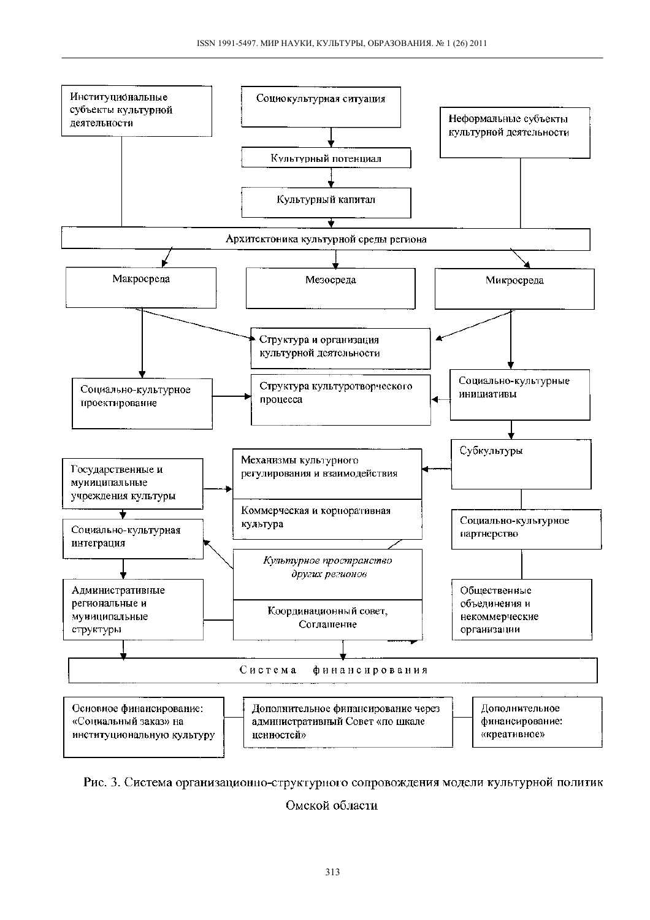

Рис. 3. Система организационно-структурного сопровождения модели культурной политик

Омской области